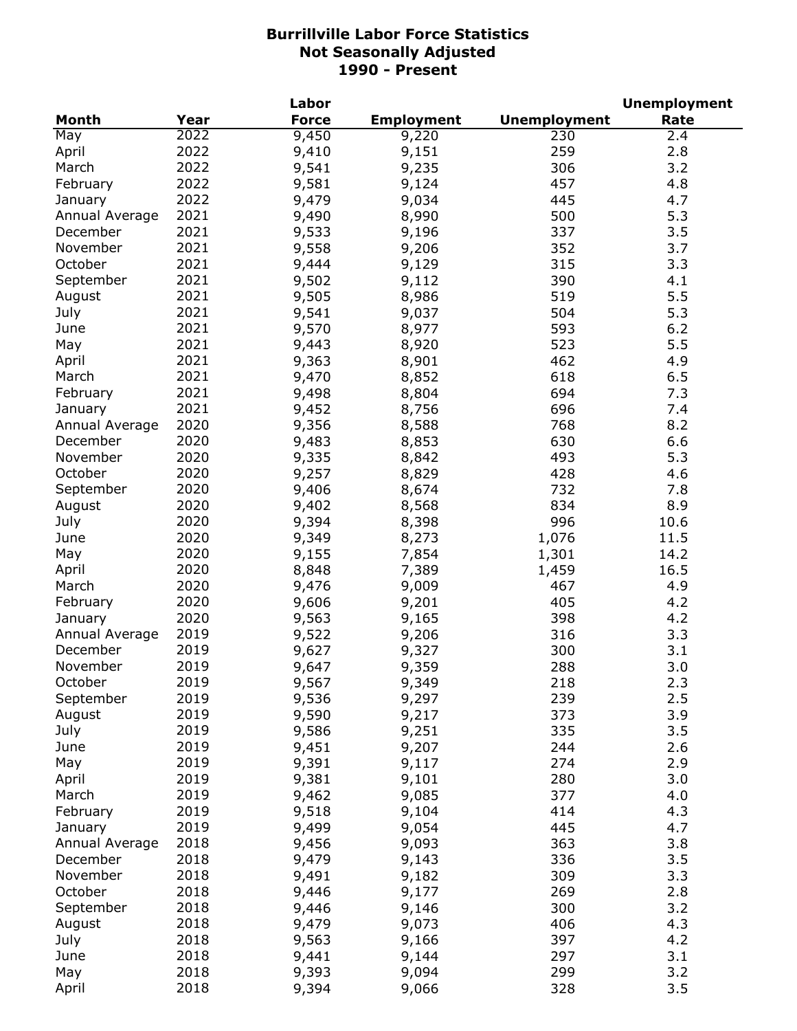|                |      | Labor          |                   |                     | <b>Unemployment</b> |
|----------------|------|----------------|-------------------|---------------------|---------------------|
| Month          | Year | <b>Force</b>   | <b>Employment</b> | <b>Unemployment</b> | Rate                |
| May            | 2022 | 9,450          | 9,220             | 230                 | 2.4                 |
| April          | 2022 | 9,410          | 9,151             | 259                 | 2.8                 |
| March          | 2022 | 9,541          | 9,235             | 306                 | 3.2                 |
| February       | 2022 | 9,581          | 9,124             | 457                 | 4.8                 |
| January        | 2022 | 9,479          | 9,034             | 445                 | 4.7                 |
| Annual Average | 2021 | 9,490          | 8,990             | 500                 | 5.3                 |
| December       | 2021 | 9,533          | 9,196             | 337                 | 3.5                 |
| November       | 2021 | 9,558          | 9,206             | 352                 | 3.7                 |
| October        | 2021 | 9,444          | 9,129             | 315                 | 3.3                 |
| September      | 2021 | 9,502          | 9,112             | 390                 | 4.1                 |
| August         | 2021 | 9,505          | 8,986             | 519                 | 5.5                 |
|                | 2021 |                |                   |                     |                     |
| July           |      | 9,541          | 9,037             | 504                 | 5.3                 |
| June           | 2021 | 9,570          | 8,977             | 593                 | 6.2                 |
| May            | 2021 | 9,443          | 8,920             | 523                 | 5.5                 |
| April          | 2021 | 9,363          | 8,901             | 462                 | 4.9                 |
| March          | 2021 | 9,470          | 8,852             | 618                 | 6.5                 |
| February       | 2021 | 9,498          | 8,804             | 694                 | 7.3                 |
| January        | 2021 | 9,452          | 8,756             | 696                 | 7.4                 |
| Annual Average | 2020 | 9,356          | 8,588             | 768                 | 8.2                 |
| December       | 2020 | 9,483          | 8,853             | 630                 | 6.6                 |
| November       | 2020 | 9,335          | 8,842             | 493                 | 5.3                 |
| October        | 2020 | 9,257          | 8,829             | 428                 | 4.6                 |
| September      | 2020 | 9,406          | 8,674             | 732                 | 7.8                 |
| August         | 2020 | 9,402          | 8,568             | 834                 | 8.9                 |
| July           | 2020 | 9,394          | 8,398             | 996                 | 10.6                |
| June           | 2020 | 9,349          | 8,273             | 1,076               | 11.5                |
| May            | 2020 | 9,155          | 7,854             | 1,301               | 14.2                |
| April          | 2020 | 8,848          | 7,389             | 1,459               | 16.5                |
| March          | 2020 | 9,476          | 9,009             | 467                 | 4.9                 |
| February       | 2020 | 9,606          | 9,201             | 405                 | 4.2                 |
| January        | 2020 | 9,563          | 9,165             | 398                 | 4.2                 |
| Annual Average | 2019 | 9,522          | 9,206             | 316                 | 3.3                 |
| December       | 2019 | 9,627          | 9,327             | 300                 | 3.1                 |
| November       | 2019 | 9,647          | 9,359             | 288                 | 3.0                 |
| October        | 2019 |                |                   | 218                 | 2.3                 |
| September      | 2019 | 9,567<br>9,536 | 9,349<br>9,297    | 239                 | 2.5                 |
| August         | 2019 | 9,590          | 9,217             | 373                 | 3.9                 |
| July           | 2019 | 9,586          |                   | 335                 | 3.5                 |
|                | 2019 |                | 9,251             | 244                 |                     |
| June           | 2019 | 9,451          | 9,207             |                     | 2.6                 |
| May            |      | 9,391          | 9,117             | 274                 | 2.9                 |
| April          | 2019 | 9,381          | 9,101             | 280                 | 3.0                 |
| March          | 2019 | 9,462          | 9,085             | 377                 | 4.0                 |
| February       | 2019 | 9,518          | 9,104             | 414                 | 4.3                 |
| January        | 2019 | 9,499          | 9,054             | 445                 | 4.7                 |
| Annual Average | 2018 | 9,456          | 9,093             | 363                 | 3.8                 |
| December       | 2018 | 9,479          | 9,143             | 336                 | 3.5                 |
| November       | 2018 | 9,491          | 9,182             | 309                 | 3.3                 |
| October        | 2018 | 9,446          | 9,177             | 269                 | 2.8                 |
| September      | 2018 | 9,446          | 9,146             | 300                 | 3.2                 |
| August         | 2018 | 9,479          | 9,073             | 406                 | 4.3                 |
| July           | 2018 | 9,563          | 9,166             | 397                 | 4.2                 |
| June           | 2018 | 9,441          | 9,144             | 297                 | 3.1                 |
| May            | 2018 | 9,393          | 9,094             | 299                 | 3.2                 |
| April          | 2018 | 9,394          | 9,066             | 328                 | 3.5                 |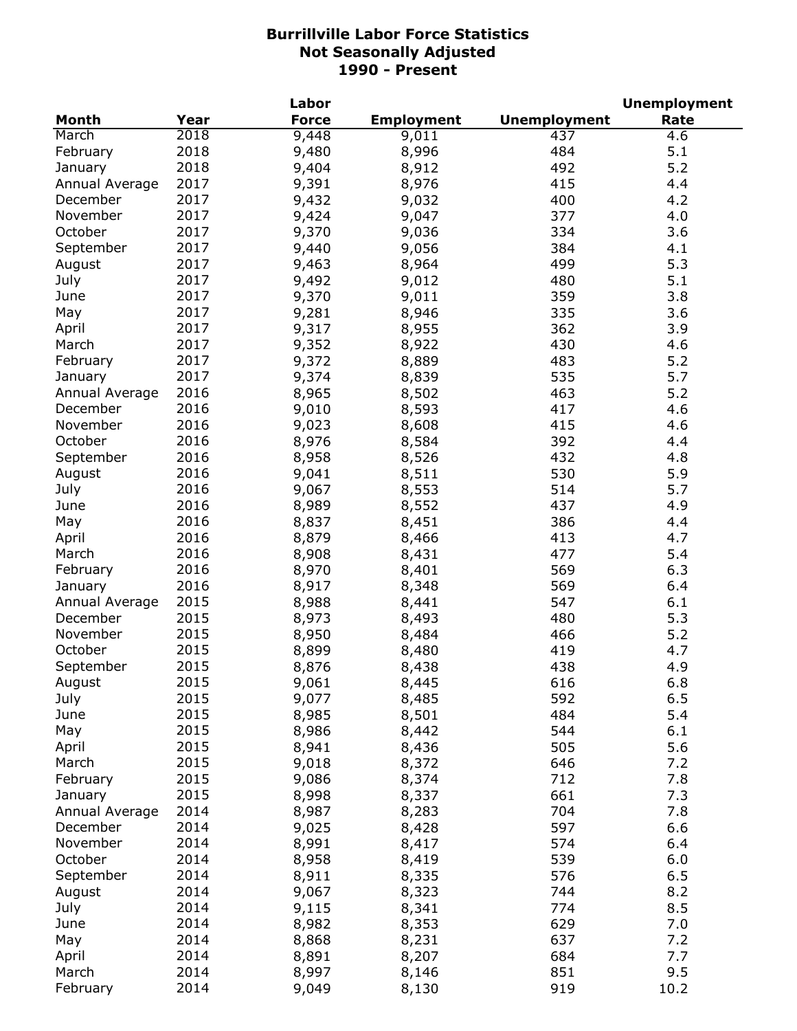|                |      | Labor        |                   |                     | <b>Unemployment</b> |
|----------------|------|--------------|-------------------|---------------------|---------------------|
| <b>Month</b>   | Year | <b>Force</b> | <b>Employment</b> | <b>Unemployment</b> | Rate                |
| March          | 2018 | 9,448        | 9,011             | 437                 | 4.6                 |
| February       | 2018 | 9,480        | 8,996             | 484                 | 5.1                 |
| January        | 2018 | 9,404        | 8,912             | 492                 | 5.2                 |
| Annual Average | 2017 | 9,391        | 8,976             | 415                 | 4.4                 |
| December       | 2017 | 9,432        | 9,032             | 400                 | 4.2                 |
| November       | 2017 | 9,424        | 9,047             | 377                 | 4.0                 |
| October        | 2017 | 9,370        | 9,036             | 334                 | 3.6                 |
| September      | 2017 | 9,440        | 9,056             | 384                 | 4.1                 |
| August         | 2017 | 9,463        | 8,964             | 499                 | 5.3                 |
| July           | 2017 | 9,492        | 9,012             | 480                 | 5.1                 |
| June           | 2017 | 9,370        | 9,011             | 359                 | 3.8                 |
| May            | 2017 | 9,281        | 8,946             | 335                 | 3.6                 |
| April          | 2017 | 9,317        | 8,955             | 362                 | 3.9                 |
| March          | 2017 | 9,352        | 8,922             | 430                 | 4.6                 |
| February       | 2017 | 9,372        | 8,889             | 483                 | 5.2                 |
| January        | 2017 | 9,374        | 8,839             | 535                 | 5.7                 |
| Annual Average | 2016 | 8,965        | 8,502             | 463                 | 5.2                 |
| December       | 2016 | 9,010        | 8,593             | 417                 | 4.6                 |
| November       | 2016 | 9,023        | 8,608             | 415                 | 4.6                 |
| October        | 2016 |              |                   | 392                 | 4.4                 |
|                | 2016 | 8,976        | 8,584             |                     |                     |
| September      |      | 8,958        | 8,526             | 432                 | 4.8                 |
| August         | 2016 | 9,041        | 8,511             | 530                 | 5.9                 |
| July           | 2016 | 9,067        | 8,553             | 514                 | 5.7                 |
| June           | 2016 | 8,989        | 8,552             | 437                 | 4.9                 |
| May            | 2016 | 8,837        | 8,451             | 386                 | 4.4                 |
| April          | 2016 | 8,879        | 8,466             | 413                 | 4.7                 |
| March          | 2016 | 8,908        | 8,431             | 477                 | 5.4                 |
| February       | 2016 | 8,970        | 8,401             | 569                 | 6.3                 |
| January        | 2016 | 8,917        | 8,348             | 569                 | 6.4                 |
| Annual Average | 2015 | 8,988        | 8,441             | 547                 | 6.1                 |
| December       | 2015 | 8,973        | 8,493             | 480                 | 5.3                 |
| November       | 2015 | 8,950        | 8,484             | 466                 | 5.2                 |
| October        | 2015 | 8,899        | 8,480             | 419                 | 4.7                 |
| September      | 2015 | 8,876        | 8,438             | 438                 | 4.9                 |
| August         | 2015 | 9,061        | 8,445             | 616                 | $6.8\,$             |
| July           | 2015 | 9,077        | 8,485             | 592                 | 6.5                 |
| June           | 2015 | 8,985        | 8,501             | 484                 | 5.4                 |
| May            | 2015 | 8,986        | 8,442             | 544                 | 6.1                 |
| April          | 2015 | 8,941        | 8,436             | 505                 | 5.6                 |
| March          | 2015 | 9,018        | 8,372             | 646                 | 7.2                 |
| February       | 2015 | 9,086        | 8,374             | 712                 | 7.8                 |
| January        | 2015 | 8,998        | 8,337             | 661                 | 7.3                 |
| Annual Average | 2014 | 8,987        | 8,283             | 704                 | 7.8                 |
| December       | 2014 | 9,025        | 8,428             | 597                 | 6.6                 |
| November       | 2014 | 8,991        | 8,417             | 574                 | 6.4                 |
| October        | 2014 | 8,958        | 8,419             | 539                 | 6.0                 |
| September      | 2014 | 8,911        | 8,335             | 576                 | 6.5                 |
| August         | 2014 | 9,067        | 8,323             | 744                 | 8.2                 |
| July           | 2014 | 9,115        | 8,341             | 774                 | 8.5                 |
| June           | 2014 | 8,982        | 8,353             | 629                 | 7.0                 |
| May            | 2014 | 8,868        | 8,231             | 637                 | 7.2                 |
| April          | 2014 | 8,891        | 8,207             | 684                 | 7.7                 |
| March          | 2014 | 8,997        | 8,146             | 851                 | 9.5                 |
| February       | 2014 | 9,049        | 8,130             | 919                 | 10.2                |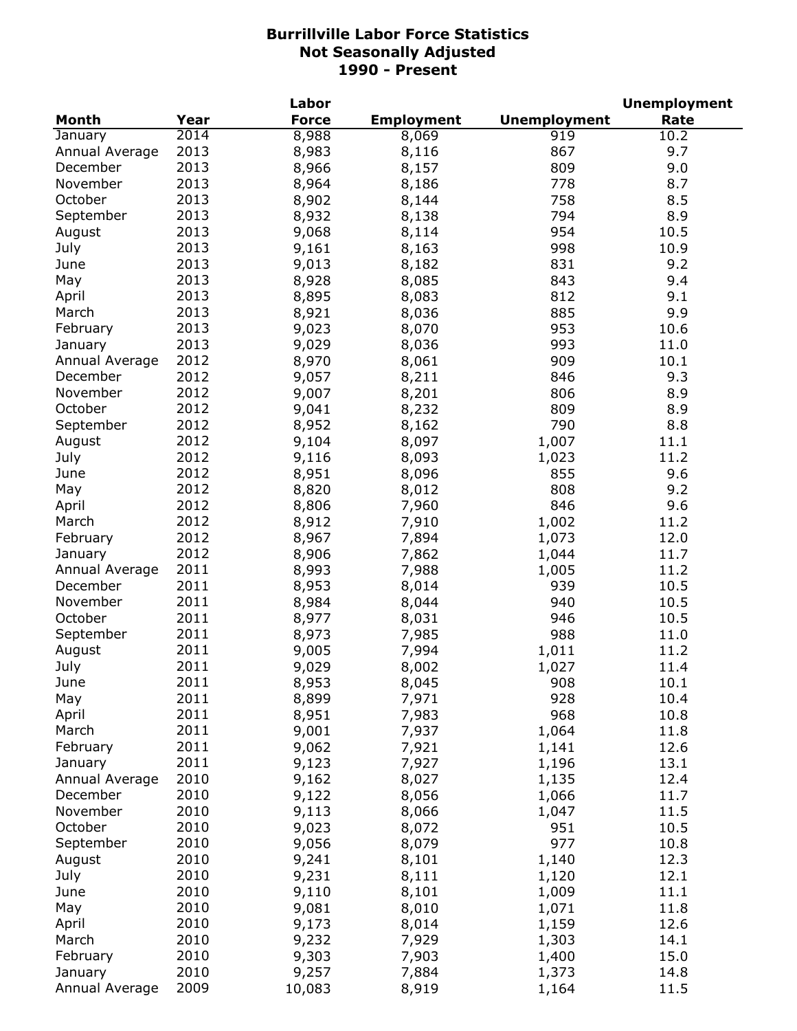|                |      | Labor        |                   |                     | <b>Unemployment</b> |
|----------------|------|--------------|-------------------|---------------------|---------------------|
| <b>Month</b>   | Year | <b>Force</b> | <b>Employment</b> | <b>Unemployment</b> | Rate                |
| January        | 2014 | 8,988        | 8,069             | 919                 | 10.2                |
| Annual Average | 2013 | 8,983        | 8,116             | 867                 | 9.7                 |
| December       | 2013 | 8,966        | 8,157             | 809                 | 9.0                 |
| November       | 2013 | 8,964        | 8,186             | 778                 | 8.7                 |
| October        | 2013 | 8,902        | 8,144             | 758                 | 8.5                 |
| September      | 2013 | 8,932        | 8,138             | 794                 | 8.9                 |
| August         | 2013 | 9,068        | 8,114             | 954                 | 10.5                |
| July           | 2013 | 9,161        | 8,163             | 998                 | 10.9                |
| June           | 2013 | 9,013        | 8,182             | 831                 | 9.2                 |
| May            | 2013 | 8,928        | 8,085             | 843                 | 9.4                 |
| April          | 2013 | 8,895        | 8,083             | 812                 | 9.1                 |
| March          | 2013 | 8,921        | 8,036             | 885                 | 9.9                 |
| February       | 2013 | 9,023        | 8,070             | 953                 | 10.6                |
| January        | 2013 | 9,029        | 8,036             | 993                 | 11.0                |
| Annual Average | 2012 | 8,970        | 8,061             | 909                 | 10.1                |
| December       | 2012 | 9,057        | 8,211             | 846                 | 9.3                 |
| November       | 2012 | 9,007        |                   | 806                 | 8.9                 |
| October        | 2012 |              | 8,201             |                     |                     |
|                | 2012 | 9,041        | 8,232             | 809                 | 8.9                 |
| September      |      | 8,952        | 8,162             | 790                 | 8.8                 |
| August         | 2012 | 9,104        | 8,097             | 1,007               | 11.1                |
| July           | 2012 | 9,116        | 8,093             | 1,023               | 11.2                |
| June           | 2012 | 8,951        | 8,096             | 855                 | 9.6                 |
| May            | 2012 | 8,820        | 8,012             | 808                 | 9.2                 |
| April          | 2012 | 8,806        | 7,960             | 846                 | 9.6                 |
| March          | 2012 | 8,912        | 7,910             | 1,002               | 11.2                |
| February       | 2012 | 8,967        | 7,894             | 1,073               | 12.0                |
| January        | 2012 | 8,906        | 7,862             | 1,044               | 11.7                |
| Annual Average | 2011 | 8,993        | 7,988             | 1,005               | 11.2                |
| December       | 2011 | 8,953        | 8,014             | 939                 | 10.5                |
| November       | 2011 | 8,984        | 8,044             | 940                 | 10.5                |
| October        | 2011 | 8,977        | 8,031             | 946                 | 10.5                |
| September      | 2011 | 8,973        | 7,985             | 988                 | 11.0                |
| August         | 2011 | 9,005        | 7,994             | 1,011               | 11.2                |
| July           | 2011 | 9,029        | 8,002             | 1,027               | 11.4                |
| June           | 2011 | 8,953        | 8,045             | 908                 | 10.1                |
| May            | 2011 | 8,899        | 7,971             | 928                 | 10.4                |
| April          | 2011 | 8,951        | 7,983             | 968                 | 10.8                |
| March          | 2011 | 9,001        | 7,937             | 1,064               | 11.8                |
| February       | 2011 | 9,062        | 7,921             | 1,141               | 12.6                |
| January        | 2011 | 9,123        | 7,927             | 1,196               | 13.1                |
| Annual Average | 2010 | 9,162        | 8,027             | 1,135               | 12.4                |
| December       | 2010 | 9,122        | 8,056             | 1,066               | 11.7                |
| November       | 2010 | 9,113        | 8,066             | 1,047               | 11.5                |
| October        | 2010 | 9,023        | 8,072             | 951                 | 10.5                |
| September      | 2010 | 9,056        | 8,079             | 977                 | 10.8                |
| August         | 2010 | 9,241        | 8,101             | 1,140               | 12.3                |
| July           | 2010 | 9,231        | 8,111             | 1,120               | 12.1                |
| June           | 2010 | 9,110        | 8,101             | 1,009               | 11.1                |
| May            | 2010 | 9,081        | 8,010             | 1,071               | 11.8                |
| April          | 2010 | 9,173        | 8,014             | 1,159               | 12.6                |
| March          | 2010 | 9,232        | 7,929             | 1,303               | 14.1                |
| February       | 2010 | 9,303        | 7,903             | 1,400               | 15.0                |
| January        | 2010 | 9,257        | 7,884             | 1,373               | 14.8                |
| Annual Average | 2009 | 10,083       | 8,919             | 1,164               | 11.5                |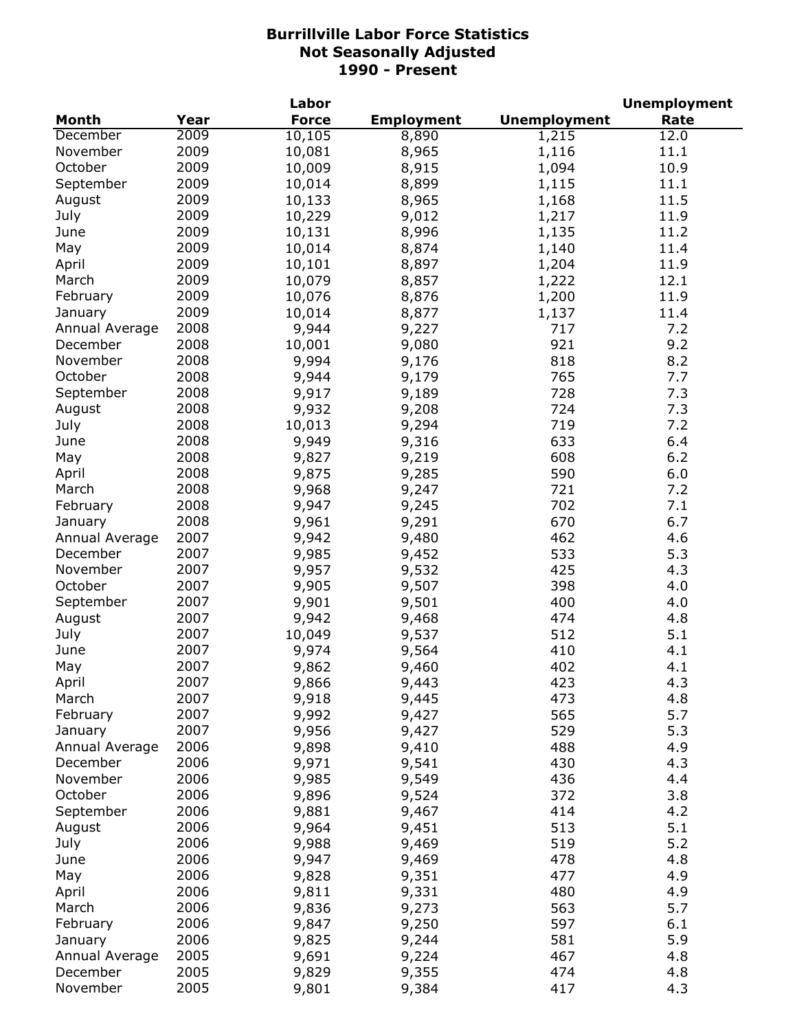|                |      | Labor        |                   |                     | <b>Unemployment</b> |
|----------------|------|--------------|-------------------|---------------------|---------------------|
| <b>Month</b>   | Year | <b>Force</b> | <b>Employment</b> | <b>Unemployment</b> | Rate                |
| December       | 2009 | 10,105       | 8,890             | 1,215               | 12.0                |
| November       | 2009 | 10,081       | 8,965             | 1,116               | 11.1                |
| October        | 2009 | 10,009       | 8,915             | 1,094               | 10.9                |
| September      | 2009 | 10,014       | 8,899             | 1,115               | 11.1                |
| August         | 2009 | 10,133       | 8,965             | 1,168               | 11.5                |
| July           | 2009 | 10,229       | 9,012             | 1,217               | 11.9                |
| June           | 2009 | 10,131       | 8,996             | 1,135               | 11.2                |
| May            | 2009 | 10,014       | 8,874             | 1,140               | 11.4                |
| April          | 2009 | 10,101       | 8,897             | 1,204               | 11.9                |
| March          | 2009 | 10,079       | 8,857             | 1,222               | 12.1                |
| February       | 2009 | 10,076       | 8,876             | 1,200               | 11.9                |
| January        | 2009 | 10,014       | 8,877             | 1,137               | 11.4                |
| Annual Average | 2008 | 9,944        | 9,227             | 717                 | 7.2                 |
| December       | 2008 | 10,001       | 9,080             | 921                 | 9.2                 |
| November       | 2008 | 9,994        | 9,176             | 818                 | 8.2                 |
| October        | 2008 | 9,944        | 9,179             | 765                 | 7.7                 |
| September      | 2008 | 9,917        | 9,189             | 728                 | 7.3                 |
| August         | 2008 | 9,932        | 9,208             | 724                 | 7.3                 |
|                | 2008 |              |                   | 719                 | 7.2                 |
| July           |      | 10,013       | 9,294             |                     |                     |
| June           | 2008 | 9,949        | 9,316             | 633                 | 6.4                 |
| May            | 2008 | 9,827        | 9,219             | 608                 | 6.2                 |
| April          | 2008 | 9,875        | 9,285             | 590                 | 6.0                 |
| March          | 2008 | 9,968        | 9,247             | 721                 | 7.2                 |
| February       | 2008 | 9,947        | 9,245             | 702                 | 7.1                 |
| January        | 2008 | 9,961        | 9,291             | 670                 | 6.7                 |
| Annual Average | 2007 | 9,942        | 9,480             | 462                 | 4.6                 |
| December       | 2007 | 9,985        | 9,452             | 533                 | 5.3                 |
| November       | 2007 | 9,957        | 9,532             | 425                 | 4.3                 |
| October        | 2007 | 9,905        | 9,507             | 398                 | 4.0                 |
| September      | 2007 | 9,901        | 9,501             | 400                 | 4.0                 |
| August         | 2007 | 9,942        | 9,468             | 474                 | 4.8                 |
| July           | 2007 | 10,049       | 9,537             | 512                 | 5.1                 |
| June           | 2007 | 9,974        | 9,564             | 410                 | 4.1                 |
| May            | 2007 | 9,862        | 9,460             | 402                 | 4.1                 |
| April          | 2007 | 9,866        | 9,443             | 423                 | 4.3                 |
| March          | 2007 | 9,918        | 9,445             | 473                 | 4.8                 |
| February       | 2007 | 9,992        | 9,427             | 565                 | 5.7                 |
| January        | 2007 | 9,956        | 9,427             | 529                 | 5.3                 |
| Annual Average | 2006 | 9,898        | 9,410             | 488                 | 4.9                 |
| December       | 2006 | 9,971        | 9,541             | 430                 | 4.3                 |
| November       | 2006 | 9,985        | 9,549             | 436                 | 4.4                 |
| October        | 2006 | 9,896        | 9,524             | 372                 | 3.8                 |
| September      | 2006 | 9,881        | 9,467             | 414                 | 4.2                 |
| August         | 2006 | 9,964        | 9,451             | 513                 | 5.1                 |
| July           | 2006 | 9,988        | 9,469             | 519                 | 5.2                 |
| June           | 2006 | 9,947        | 9,469             | 478                 | 4.8                 |
| May            | 2006 | 9,828        | 9,351             | 477                 | 4.9                 |
| April          | 2006 | 9,811        | 9,331             | 480                 | 4.9                 |
| March          | 2006 | 9,836        | 9,273             | 563                 | 5.7                 |
| February       | 2006 | 9,847        | 9,250             | 597                 | 6.1                 |
| January        | 2006 | 9,825        | 9,244             | 581                 | 5.9                 |
| Annual Average | 2005 | 9,691        | 9,224             | 467                 | 4.8                 |
| December       | 2005 | 9,829        | 9,355             | 474                 | 4.8                 |
| November       | 2005 | 9,801        | 9,384             | 417                 | 4.3                 |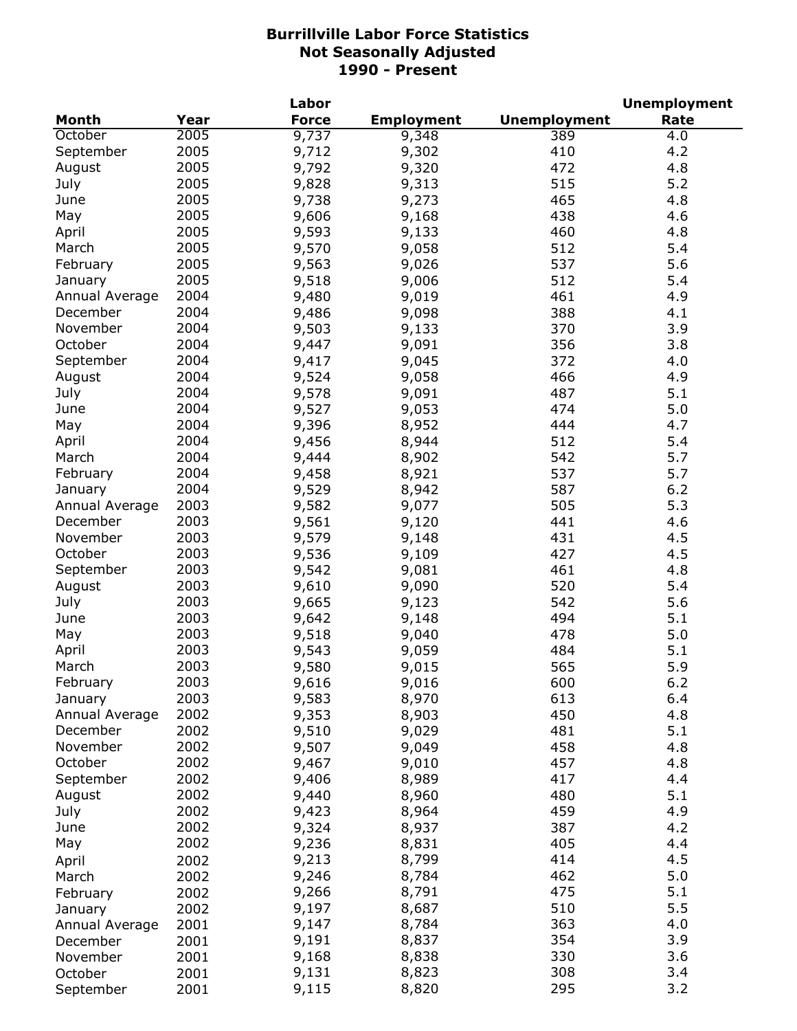|                |      | Labor        |                   |                     | <b>Unemployment</b> |
|----------------|------|--------------|-------------------|---------------------|---------------------|
| <b>Month</b>   | Year | <b>Force</b> | <b>Employment</b> | <b>Unemployment</b> | Rate                |
| October        | 2005 | 9,737        | 9,348             | 389                 | 4.0                 |
| September      | 2005 | 9,712        | 9,302             | 410                 | 4.2                 |
| August         | 2005 | 9,792        | 9,320             | 472                 | 4.8                 |
| July           | 2005 | 9,828        | 9,313             | 515                 | 5.2                 |
| June           | 2005 | 9,738        | 9,273             | 465                 | 4.8                 |
| May            | 2005 | 9,606        | 9,168             | 438                 | 4.6                 |
| April          | 2005 | 9,593        | 9,133             | 460                 | 4.8                 |
| March          | 2005 | 9,570        | 9,058             | 512                 | 5.4                 |
| February       | 2005 | 9,563        | 9,026             | 537                 | 5.6                 |
| January        | 2005 | 9,518        | 9,006             | 512                 | 5.4                 |
| Annual Average | 2004 | 9,480        | 9,019             | 461                 | 4.9                 |
| December       | 2004 | 9,486        | 9,098             | 388                 | 4.1                 |
| November       | 2004 | 9,503        | 9,133             | 370                 | 3.9                 |
| October        | 2004 | 9,447        | 9,091             | 356                 | 3.8                 |
| September      | 2004 | 9,417        | 9,045             | 372                 | 4.0                 |
| August         | 2004 | 9,524        | 9,058             | 466                 | 4.9                 |
| July           | 2004 | 9,578        | 9,091             | 487                 | 5.1                 |
| June           | 2004 | 9,527        | 9,053             | 474                 | 5.0                 |
| May            | 2004 | 9,396        | 8,952             | 444                 | 4.7                 |
| April          | 2004 | 9,456        | 8,944             | 512                 | 5.4                 |
| March          | 2004 | 9,444        | 8,902             | 542                 | 5.7                 |
| February       | 2004 | 9,458        | 8,921             | 537                 | 5.7                 |
| January        | 2004 | 9,529        | 8,942             | 587                 | 6.2                 |
| Annual Average | 2003 | 9,582        | 9,077             | 505                 | 5.3                 |
| December       | 2003 | 9,561        | 9,120             | 441                 | 4.6                 |
| November       | 2003 | 9,579        | 9,148             | 431                 | 4.5                 |
| October        | 2003 | 9,536        | 9,109             | 427                 | 4.5                 |
| September      | 2003 | 9,542        | 9,081             | 461                 | 4.8                 |
| August         | 2003 | 9,610        | 9,090             | 520                 | 5.4                 |
| July           | 2003 | 9,665        | 9,123             | 542                 | 5.6                 |
| June           | 2003 | 9,642        | 9,148             | 494                 | 5.1                 |
| May            | 2003 | 9,518        | 9,040             | 478                 | 5.0                 |
| April          | 2003 | 9,543        | 9,059             | 484                 | 5.1                 |
| March          | 2003 | 9,580        | 9,015             | 565                 | 5.9                 |
| February       | 2003 | 9,616        | 9,016             | 600                 | 6.2                 |
| January        | 2003 | 9,583        | 8,970             | 613                 | 6.4                 |
| Annual Average | 2002 | 9,353        | 8,903             | 450                 | 4.8                 |
| December       | 2002 | 9,510        | 9,029             | 481                 | 5.1                 |
| November       | 2002 | 9,507        | 9,049             | 458                 | 4.8                 |
| October        | 2002 | 9,467        | 9,010             | 457                 | 4.8                 |
| September      | 2002 | 9,406        | 8,989             | 417                 | 4.4                 |
| August         | 2002 | 9,440        | 8,960             | 480                 | 5.1                 |
| July           | 2002 | 9,423        | 8,964             | 459                 | 4.9                 |
| June           | 2002 | 9,324        | 8,937             | 387                 | 4.2                 |
| May            | 2002 | 9,236        | 8,831             | 405                 | 4.4                 |
| April          | 2002 | 9,213        | 8,799             | 414                 | 4.5                 |
| March          | 2002 | 9,246        | 8,784             | 462                 | 5.0                 |
| February       | 2002 | 9,266        | 8,791             | 475                 | 5.1                 |
| January        | 2002 | 9,197        | 8,687             | 510                 | 5.5                 |
| Annual Average | 2001 | 9,147        | 8,784             | 363                 | 4.0                 |
| December       | 2001 | 9,191        | 8,837             | 354                 | 3.9                 |
| November       | 2001 | 9,168        | 8,838             | 330                 | 3.6                 |
| October        | 2001 | 9,131        | 8,823             | 308                 | 3.4                 |
| September      | 2001 | 9,115        | 8,820             | 295                 | 3.2                 |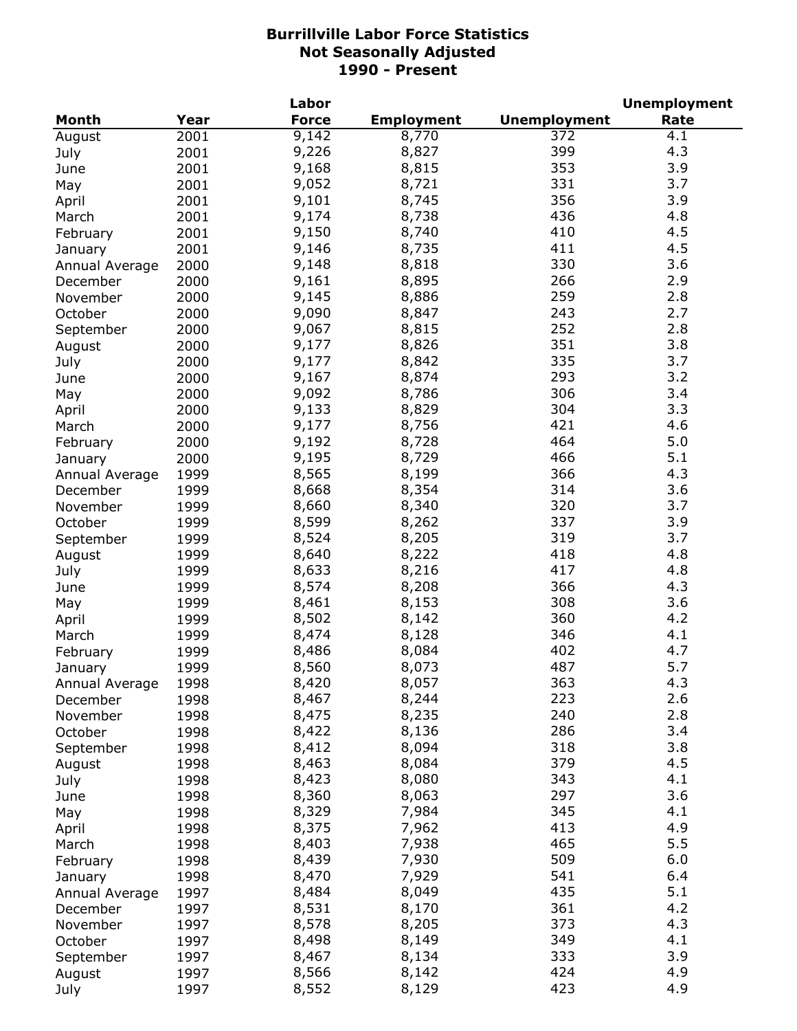|                           |      | Labor        |                   |                     | <b>Unemployment</b> |
|---------------------------|------|--------------|-------------------|---------------------|---------------------|
| Month                     | Year | <b>Force</b> | <b>Employment</b> | <b>Unemployment</b> | Rate                |
| August                    | 2001 | 9,142        | 8,770             | 372                 | 4.1                 |
| July                      | 2001 | 9,226        | 8,827             | 399                 | 4.3                 |
| June                      | 2001 | 9,168        | 8,815             | 353                 | 3.9                 |
| May                       | 2001 | 9,052        | 8,721             | 331                 | 3.7                 |
| April                     | 2001 | 9,101        | 8,745             | 356                 | 3.9                 |
| March                     | 2001 | 9,174        | 8,738             | 436                 | 4.8                 |
| February                  | 2001 | 9,150        | 8,740             | 410                 | 4.5                 |
| January                   | 2001 | 9,146        | 8,735             | 411                 | 4.5                 |
| Annual Average            | 2000 | 9,148        | 8,818             | 330                 | 3.6                 |
| December                  | 2000 | 9,161        | 8,895             | 266                 | 2.9                 |
| November                  | 2000 | 9,145        | 8,886             | 259                 | 2.8                 |
| October                   | 2000 | 9,090        | 8,847             | 243                 | 2.7                 |
| September                 | 2000 | 9,067        | 8,815             | 252                 | 2.8                 |
| August                    | 2000 | 9,177        | 8,826             | 351                 | 3.8                 |
| July                      | 2000 | 9,177        | 8,842             | 335                 | 3.7                 |
| June                      | 2000 | 9,167        | 8,874             | 293                 | 3.2                 |
| May                       | 2000 | 9,092        | 8,786             | 306                 | 3.4                 |
| April                     | 2000 | 9,133        | 8,829             | 304                 | 3.3                 |
| March                     | 2000 | 9,177        | 8,756             | 421                 | 4.6                 |
| February                  | 2000 | 9,192        | 8,728             | 464                 | 5.0                 |
|                           | 2000 | 9,195        | 8,729             | 466                 | 5.1                 |
| January<br>Annual Average | 1999 | 8,565        | 8,199             | 366                 | 4.3                 |
| December                  | 1999 | 8,668        | 8,354             | 314                 | 3.6                 |
| November                  | 1999 | 8,660        | 8,340             | 320                 | 3.7                 |
| October                   | 1999 | 8,599        | 8,262             | 337                 | 3.9                 |
| September                 | 1999 | 8,524        | 8,205             | 319                 | 3.7                 |
| August                    | 1999 | 8,640        | 8,222             | 418                 | 4.8                 |
| July                      | 1999 | 8,633        | 8,216             | 417                 | 4.8                 |
| June                      | 1999 | 8,574        | 8,208             | 366                 | 4.3                 |
| May                       | 1999 | 8,461        | 8,153             | 308                 | 3.6                 |
| April                     | 1999 | 8,502        | 8,142             | 360                 | 4.2                 |
| March                     | 1999 | 8,474        | 8,128             | 346                 | 4.1                 |
| February                  | 1999 | 8,486        | 8,084             | 402                 | 4.7                 |
| January                   | 1999 | 8,560        | 8,073             | 487                 | 5.7                 |
| Annual Average            | 1998 | 8,420        | 8,057             | 363                 | 4.3                 |
| December                  | 1998 | 8,467        | 8,244             | 223                 | 2.6                 |
| November                  | 1998 | 8,475        | 8,235             | 240                 | 2.8                 |
| October                   | 1998 | 8,422        | 8,136             | 286                 | 3.4                 |
| September                 | 1998 | 8,412        | 8,094             | 318                 | 3.8                 |
| August                    | 1998 | 8,463        | 8,084             | 379                 | 4.5                 |
| July                      | 1998 | 8,423        | 8,080             | 343                 | 4.1                 |
| June                      | 1998 | 8,360        | 8,063             | 297                 | 3.6                 |
| May                       | 1998 | 8,329        | 7,984             | 345                 | 4.1                 |
| April                     | 1998 | 8,375        | 7,962             | 413                 | 4.9                 |
| March                     | 1998 | 8,403        | 7,938             | 465                 | 5.5                 |
| February                  | 1998 | 8,439        | 7,930             | 509                 | 6.0                 |
| January                   | 1998 | 8,470        | 7,929             | 541                 | 6.4                 |
| Annual Average            | 1997 | 8,484        | 8,049             | 435                 | 5.1                 |
| December                  | 1997 | 8,531        | 8,170             | 361                 | 4.2                 |
| November                  | 1997 | 8,578        | 8,205             | 373                 | 4.3                 |
| October                   | 1997 | 8,498        | 8,149             | 349                 | 4.1                 |
| September                 | 1997 | 8,467        | 8,134             | 333                 | 3.9                 |
| August                    | 1997 | 8,566        | 8,142             | 424                 | 4.9                 |
| July                      | 1997 | 8,552        | 8,129             | 423                 | 4.9                 |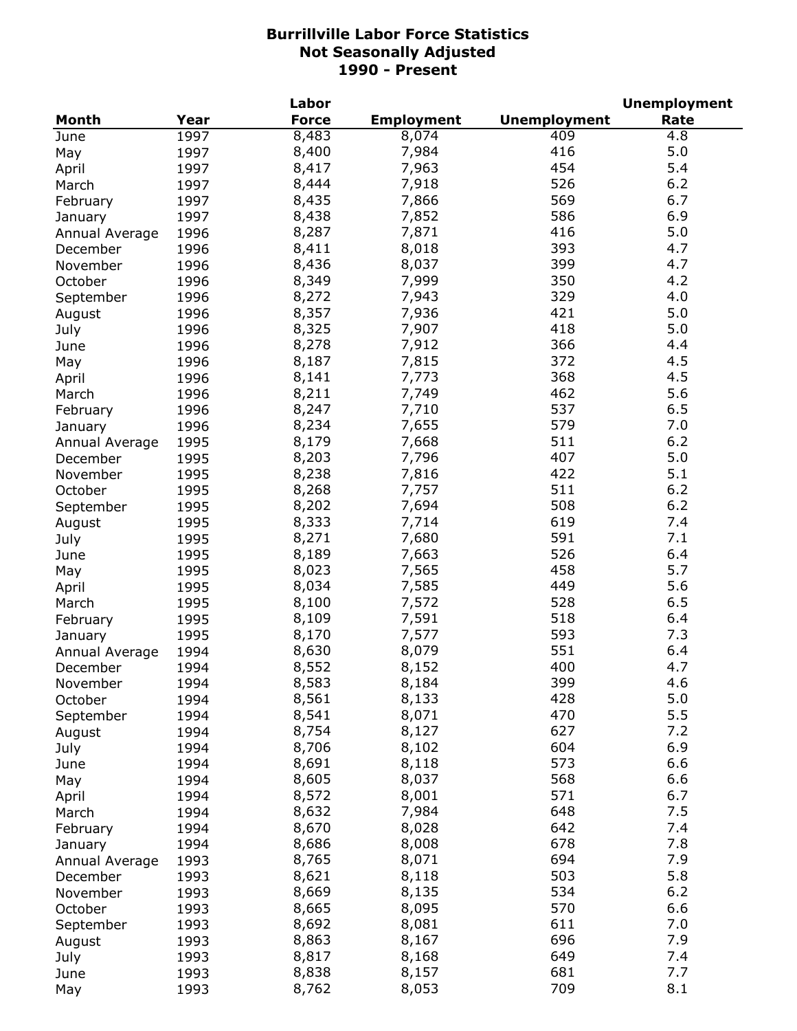|                |      | Labor        |                   |                     | <b>Unemployment</b> |
|----------------|------|--------------|-------------------|---------------------|---------------------|
| <b>Month</b>   | Year | <b>Force</b> | <b>Employment</b> | <b>Unemployment</b> | Rate                |
| June           | 1997 | 8,483        | 8,074             | 409                 | 4.8                 |
| May            | 1997 | 8,400        | 7,984             | 416                 | 5.0                 |
| April          | 1997 | 8,417        | 7,963             | 454                 | 5.4                 |
| March          | 1997 | 8,444        | 7,918             | 526                 | 6.2                 |
| February       | 1997 | 8,435        | 7,866             | 569                 | 6.7                 |
| January        | 1997 | 8,438        | 7,852             | 586                 | 6.9                 |
| Annual Average | 1996 | 8,287        | 7,871             | 416                 | 5.0                 |
| December       | 1996 | 8,411        | 8,018             | 393                 | 4.7                 |
| November       | 1996 | 8,436        | 8,037             | 399                 | 4.7                 |
| October        | 1996 | 8,349        | 7,999             | 350                 | 4.2                 |
| September      | 1996 | 8,272        | 7,943             | 329                 | 4.0                 |
| August         | 1996 | 8,357        | 7,936             | 421                 | 5.0                 |
| July           | 1996 | 8,325        | 7,907             | 418                 | 5.0                 |
|                | 1996 | 8,278        | 7,912             | 366                 | 4.4                 |
| June           |      |              |                   | 372                 | 4.5                 |
| May            | 1996 | 8,187        | 7,815             |                     |                     |
| April          | 1996 | 8,141        | 7,773             | 368                 | 4.5                 |
| March          | 1996 | 8,211        | 7,749             | 462                 | 5.6                 |
| February       | 1996 | 8,247        | 7,710             | 537                 | 6.5                 |
| January        | 1996 | 8,234        | 7,655             | 579                 | 7.0                 |
| Annual Average | 1995 | 8,179        | 7,668             | 511                 | 6.2                 |
| December       | 1995 | 8,203        | 7,796             | 407                 | 5.0                 |
| November       | 1995 | 8,238        | 7,816             | 422                 | 5.1                 |
| October        | 1995 | 8,268        | 7,757             | 511                 | 6.2                 |
| September      | 1995 | 8,202        | 7,694             | 508                 | 6.2                 |
| August         | 1995 | 8,333        | 7,714             | 619                 | 7.4                 |
| July           | 1995 | 8,271        | 7,680             | 591                 | 7.1                 |
| June           | 1995 | 8,189        | 7,663             | 526                 | 6.4                 |
| May            | 1995 | 8,023        | 7,565             | 458                 | 5.7                 |
| April          | 1995 | 8,034        | 7,585             | 449                 | 5.6                 |
| March          | 1995 | 8,100        | 7,572             | 528                 | 6.5                 |
| February       | 1995 | 8,109        | 7,591             | 518                 | 6.4                 |
| January        | 1995 | 8,170        | 7,577             | 593                 | 7.3                 |
| Annual Average | 1994 | 8,630        | 8,079             | 551                 | 6.4                 |
| December       | 1994 | 8,552        | 8,152             | 400                 | 4.7                 |
| November       | 1994 | 8,583        | 8,184             | 399                 | 4.6                 |
| October        | 1994 | 8,561        | 8,133             | 428                 | 5.0                 |
| September      | 1994 | 8,541        | 8,071             | 470                 | 5.5                 |
| August         | 1994 | 8,754        | 8,127             | 627                 | 7.2                 |
| July           | 1994 | 8,706        | 8,102             | 604                 | 6.9                 |
| June           | 1994 | 8,691        | 8,118             | 573                 | 6.6                 |
| May            | 1994 | 8,605        | 8,037             | 568                 | 6.6                 |
| April          | 1994 | 8,572        | 8,001             | 571                 | 6.7                 |
| March          | 1994 | 8,632        | 7,984             | 648                 | 7.5                 |
| February       | 1994 | 8,670        | 8,028             | 642                 | 7.4                 |
|                | 1994 | 8,686        | 8,008             | 678                 | 7.8                 |
| January        | 1993 | 8,765        | 8,071             | 694                 | 7.9                 |
| Annual Average |      | 8,621        | 8,118             | 503                 | 5.8                 |
| December       | 1993 |              |                   |                     |                     |
| November       | 1993 | 8,669        | 8,135             | 534                 | $6.2$               |
| October        | 1993 | 8,665        | 8,095             | 570                 | 6.6                 |
| September      | 1993 | 8,692        | 8,081             | 611                 | 7.0                 |
| August         | 1993 | 8,863        | 8,167             | 696                 | 7.9                 |
| July           | 1993 | 8,817        | 8,168             | 649                 | 7.4                 |
| June           | 1993 | 8,838        | 8,157             | 681                 | 7.7                 |
| May            | 1993 | 8,762        | 8,053             | 709                 | 8.1                 |